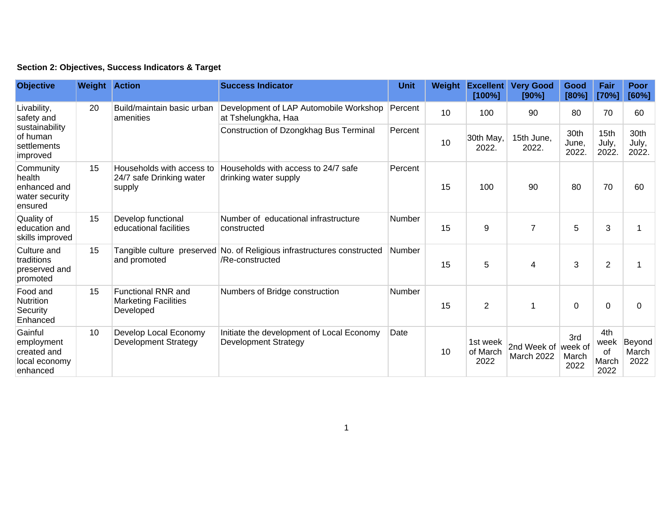## **Section 2: Objectives, Success Indicators & Target**

| <b>Objective</b>                                                                   | <b>Weight Action</b> |                                                                       | <b>Success Indicator</b>                                                                   | <b>Unit</b> | Weight | <b>Excellent</b><br>[100%]   | <b>Very Good</b><br>[90%]         | Good<br>[80%]          | Fair<br>[70%]                      | Poor<br>[60%]           |
|------------------------------------------------------------------------------------|----------------------|-----------------------------------------------------------------------|--------------------------------------------------------------------------------------------|-------------|--------|------------------------------|-----------------------------------|------------------------|------------------------------------|-------------------------|
| Livability,<br>safety and<br>sustainability<br>of human<br>settlements<br>improved | 20                   | Build/maintain basic urban<br>amenities                               | Development of LAP Automobile Workshop<br>at Tshelungkha, Haa                              | Percent     | 10     | 100                          | 90                                | 80                     | 70                                 | 60                      |
|                                                                                    |                      |                                                                       | Construction of Dzongkhag Bus Terminal                                                     | Percent     | 10     | 30th May,<br>2022.           | 15th June,<br>2022.               | 30th<br>June,<br>2022. | 15th<br>July,<br>2022.             | 30th<br>July,<br>2022.  |
| Community<br>health<br>enhanced and<br>water security<br>ensured                   | 15                   | Households with access to<br>24/7 safe Drinking water<br>supply       | Households with access to 24/7 safe<br>drinking water supply                               | Percent     | 15     | 100                          | 90                                | 80                     | 70                                 | 60                      |
| Quality of<br>education and<br>skills improved                                     | 15                   | Develop functional<br>educational facilities                          | Number of educational infrastructure<br>constructed                                        | Number      | 15     | 9                            | $\overline{7}$                    | 5                      | 3                                  |                         |
| Culture and<br>traditions<br>preserved and<br>promoted                             | 15                   | and promoted                                                          | Tangible culture preserved No. of Religious infrastructures constructed<br>/Re-constructed | Number      | 15     | 5                            | 4                                 | 3                      | $\overline{2}$                     |                         |
| Food and<br>Nutrition<br>Security<br>Enhanced                                      | 15                   | <b>Functional RNR and</b><br><b>Marketing Facilities</b><br>Developed | Numbers of Bridge construction                                                             | Number      | 15     | $\overline{2}$               |                                   | $\Omega$               | 0                                  | 0                       |
| Gainful<br>employment<br>created and<br>local economy<br>enhanced                  | 10                   | Develop Local Economy<br><b>Development Strategy</b>                  | Initiate the development of Local Economy<br><b>Development Strategy</b>                   | Date        | 10     | 1st week<br>of March<br>2022 | 2nd Week of week of<br>March 2022 | 3rd<br>March<br>2022   | 4th<br>week<br>of<br>March<br>2022 | Beyond<br>March<br>2022 |